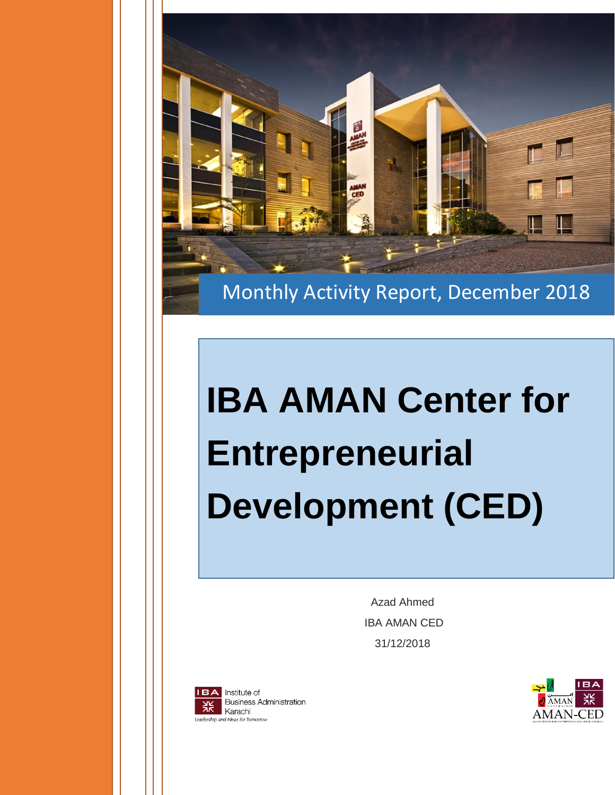

Monthly Activity Report, December 2018

## **IBA AMAN Center for Entrepreneurial Development (CED)**

Azad Ahmed IBA AMAN CED 31/12/2018



Institute of **Business Administration** Karachi Leadership and Ideas for Tomorrow

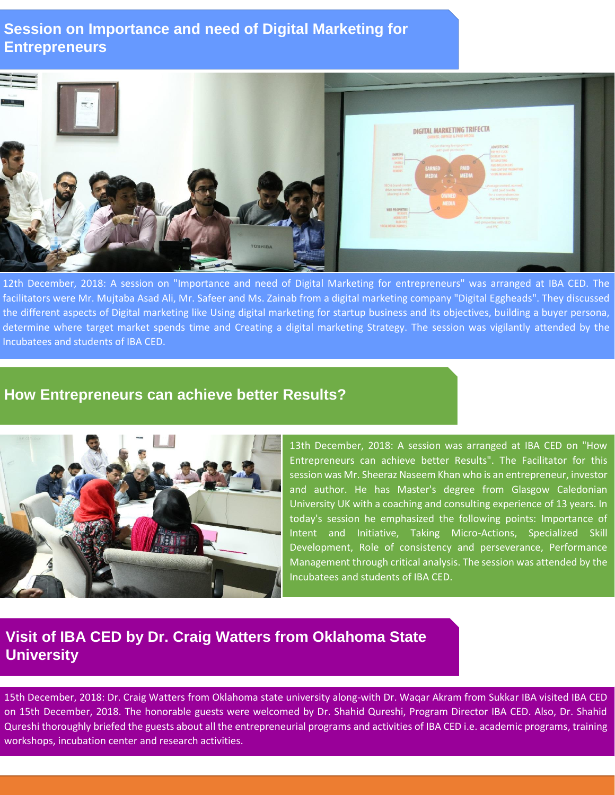## **Session on Importance and need of Digital Marketing for Entrepreneurs**

| <b>College</b><br>-75<br>$\overline{\mathcal{K}}$ | <b>DIGITAL MARKETING TRIFECTA</b>                                                                                                                                                                                                                                                                                                                                                                                                                                                                                                                                                                                                                                               |  |
|---------------------------------------------------|---------------------------------------------------------------------------------------------------------------------------------------------------------------------------------------------------------------------------------------------------------------------------------------------------------------------------------------------------------------------------------------------------------------------------------------------------------------------------------------------------------------------------------------------------------------------------------------------------------------------------------------------------------------------------------|--|
| <b>TOSHIBA</b>                                    | Propel sharing is engagement<br>ADVERTISING<br>with paid promotion<br>PAYPER CUCK<br>SHARING<br>DISPLAY ADS<br>MINTIONS<br>RETARGETING<br>SMARES<br>PARTHAMENTERS<br><b>REPOSIS</b><br><b>PAID</b><br>EARNED<br><b>PAID CONTENT PROMOTION</b><br><b>HYENS</b><br>SOCIAL INFORMADS<br><b>MEDIA</b><br>$MEDIA$ $\rightarrow$<br>10<br>SEO & brand content<br>Leverage owned, earned,<br>drive earned media<br>and paid media<br>$-\alpha$<br>for a comprehensive<br>OWNED<br>marketing strategy<br><b>MEDIA</b><br>WEB PROPERTIES<br>WEBSITE<br><b>MOBILE SITE</b><br>Gam more exposure to<br><b>HUGSHE</b><br>web properties with SEO<br><b>SOCIAL MEDIA CHANNELS</b><br>and PPC |  |

12th December, 2018: A session on "Importance and need of Digital Marketing for entrepreneurs" was arranged at IBA CED. The facilitators were Mr. Mujtaba Asad Ali, Mr. Safeer and Ms. Zainab from a digital marketing company "Digital Eggheads". They discussed the different aspects of Digital marketing like Using digital marketing for startup business and its objectives, building a buyer persona, determine where target market spends time and Creating a digital marketing Strategy. The session was vigilantly attended by the Incubatees and students of IBA CED.

## **How Entrepreneurs can achieve better Results?**



13th December, 2018: A session was arranged at IBA CED on "How Entrepreneurs can achieve better Results". The Facilitator for this session was Mr. Sheeraz Naseem Khan who is an entrepreneur, investor and author. He has Master's degree from Glasgow Caledonian University UK with a coaching and consulting experience of 13 years. In today's session he emphasized the following points: Importance of Intent and Initiative, Taking Micro-Actions, Specialized Skill Development, Role of consistency and perseverance, Performance Management through critical analysis. The session was attended by the Incubatees and students of IBA CED.

## **Visit of IBA CED by Dr. Craig Watters from Oklahoma State University**

15th December, 2018: Dr. Craig Watters from Oklahoma state university along-with Dr. Waqar Akram from Sukkar IBA visited IBA CED on 15th December, 2018. The honorable guests were welcomed by Dr. Shahid Qureshi, Program Director IBA CED. Also, Dr. Shahid Qureshi thoroughly briefed the guests about all the entrepreneurial programs and activities of IBA CED i.e. academic programs, training workshops, incubation center and research activities.